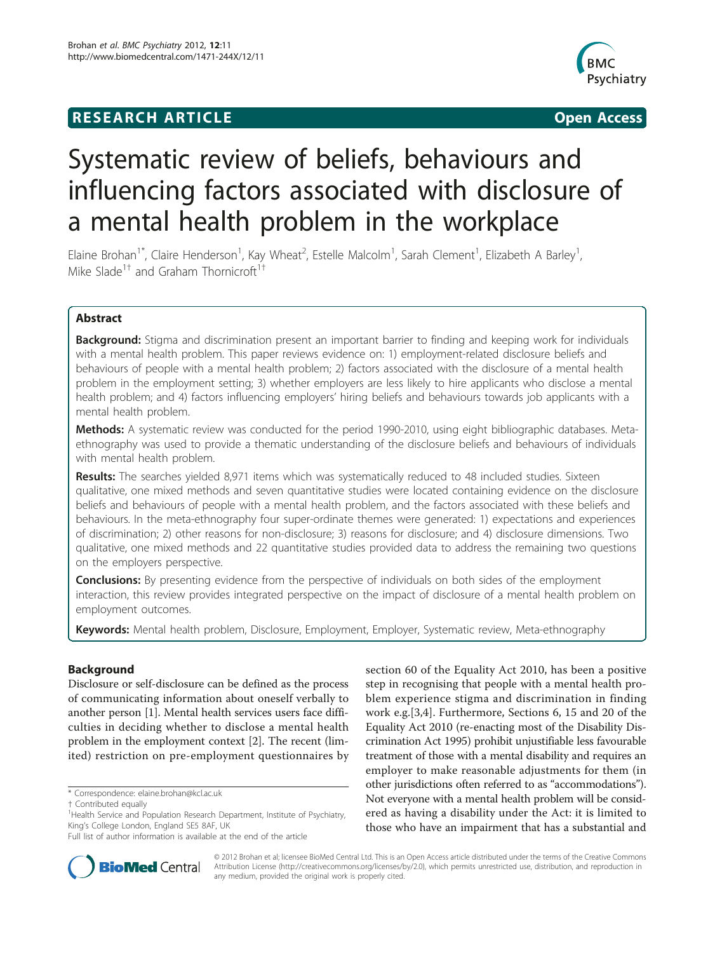# **RESEARCH ARTICLE Example 2014 CONSUMING ACCESS**



# Systematic review of beliefs, behaviours and influencing factors associated with disclosure of a mental health problem in the workplace

Elaine Brohan<sup>1\*</sup>, Claire Henderson<sup>1</sup>, Kay Wheat<sup>2</sup>, Estelle Malcolm<sup>1</sup>, Sarah Clement<sup>1</sup>, Elizabeth A Barley<sup>1</sup> , Mike Slade<sup>1†</sup> and Graham Thornicroft<sup>1†</sup>

## Abstract

**Background:** Stigma and discrimination present an important barrier to finding and keeping work for individuals with a mental health problem. This paper reviews evidence on: 1) employment-related disclosure beliefs and behaviours of people with a mental health problem; 2) factors associated with the disclosure of a mental health problem in the employment setting; 3) whether employers are less likely to hire applicants who disclose a mental health problem; and 4) factors influencing employers' hiring beliefs and behaviours towards job applicants with a mental health problem.

Methods: A systematic review was conducted for the period 1990-2010, using eight bibliographic databases. Metaethnography was used to provide a thematic understanding of the disclosure beliefs and behaviours of individuals with mental health problem.

Results: The searches yielded 8,971 items which was systematically reduced to 48 included studies. Sixteen qualitative, one mixed methods and seven quantitative studies were located containing evidence on the disclosure beliefs and behaviours of people with a mental health problem, and the factors associated with these beliefs and behaviours. In the meta-ethnography four super-ordinate themes were generated: 1) expectations and experiences of discrimination; 2) other reasons for non-disclosure; 3) reasons for disclosure; and 4) disclosure dimensions. Two qualitative, one mixed methods and 22 quantitative studies provided data to address the remaining two questions on the employers perspective.

**Conclusions:** By presenting evidence from the perspective of individuals on both sides of the employment interaction, this review provides integrated perspective on the impact of disclosure of a mental health problem on employment outcomes.

Keywords: Mental health problem, Disclosure, Employment, Employer, Systematic review, Meta-ethnography

## Background

Disclosure or self-disclosure can be defined as the process of communicating information about oneself verbally to another person [[1](#page-11-0)]. Mental health services users face difficulties in deciding whether to disclose a mental health problem in the employment context [\[2](#page-11-0)]. The recent (limited) restriction on pre-employment questionnaires by

\* Correspondence: [elaine.brohan@kcl.ac.uk](mailto:elaine.brohan@kcl.ac.uk)

section 60 of the Equality Act 2010, has been a positive step in recognising that people with a mental health problem experience stigma and discrimination in finding work e.g.[\[3,4](#page-11-0)]. Furthermore, Sections 6, 15 and 20 of the Equality Act 2010 (re-enacting most of the Disability Discrimination Act 1995) prohibit unjustifiable less favourable treatment of those with a mental disability and requires an employer to make reasonable adjustments for them (in other jurisdictions often referred to as "accommodations"). Not everyone with a mental health problem will be considered as having a disability under the Act: it is limited to those who have an impairment that has a substantial and



© 2012 Brohan et al; licensee BioMed Central Ltd. This is an Open Access article distributed under the terms of the Creative Commons Attribution License [\(http://creativecommons.org/licenses/by/2.0](http://creativecommons.org/licenses/by/2.0)), which permits unrestricted use, distribution, and reproduction in any medium, provided the original work is properly cited.

<sup>†</sup> Contributed equally <sup>1</sup>

<sup>&</sup>lt;sup>1</sup> Health Service and Population Research Department, Institute of Psychiatry, King's College London, England SE5 8AF, UK

Full list of author information is available at the end of the article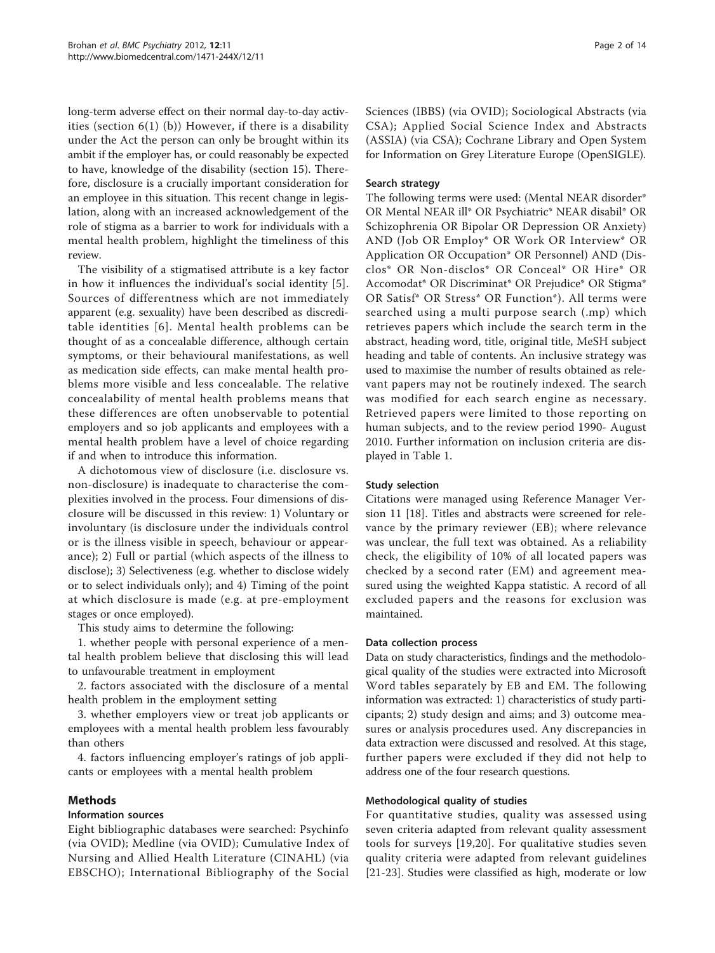long-term adverse effect on their normal day-to-day activities (section  $6(1)$  (b)) However, if there is a disability under the Act the person can only be brought within its ambit if the employer has, or could reasonably be expected to have, knowledge of the disability (section 15). Therefore, disclosure is a crucially important consideration for an employee in this situation. This recent change in legislation, along with an increased acknowledgement of the role of stigma as a barrier to work for individuals with a mental health problem, highlight the timeliness of this review.

The visibility of a stigmatised attribute is a key factor in how it influences the individual's social identity [[5](#page-11-0)]. Sources of differentness which are not immediately apparent (e.g. sexuality) have been described as discreditable identities [[6](#page-11-0)]. Mental health problems can be thought of as a concealable difference, although certain symptoms, or their behavioural manifestations, as well as medication side effects, can make mental health problems more visible and less concealable. The relative concealability of mental health problems means that these differences are often unobservable to potential employers and so job applicants and employees with a mental health problem have a level of choice regarding if and when to introduce this information.

A dichotomous view of disclosure (i.e. disclosure vs. non-disclosure) is inadequate to characterise the complexities involved in the process. Four dimensions of disclosure will be discussed in this review: 1) Voluntary or involuntary (is disclosure under the individuals control or is the illness visible in speech, behaviour or appearance); 2) Full or partial (which aspects of the illness to disclose); 3) Selectiveness (e.g. whether to disclose widely or to select individuals only); and 4) Timing of the point at which disclosure is made (e.g. at pre-employment stages or once employed).

This study aims to determine the following:

1. whether people with personal experience of a mental health problem believe that disclosing this will lead to unfavourable treatment in employment

2. factors associated with the disclosure of a mental health problem in the employment setting

3. whether employers view or treat job applicants or employees with a mental health problem less favourably than others

4. factors influencing employer's ratings of job applicants or employees with a mental health problem

## Methods

#### Information sources

Eight bibliographic databases were searched: Psychinfo (via OVID); Medline (via OVID); Cumulative Index of Nursing and Allied Health Literature (CINAHL) (via EBSCHO); International Bibliography of the Social Sciences (IBBS) (via OVID); Sociological Abstracts (via CSA); Applied Social Science Index and Abstracts (ASSIA) (via CSA); Cochrane Library and Open System for Information on Grey Literature Europe (OpenSIGLE).

#### Search strategy

The following terms were used: (Mental NEAR disorder\* OR Mental NEAR ill\* OR Psychiatric\* NEAR disabil\* OR Schizophrenia OR Bipolar OR Depression OR Anxiety) AND (Job OR Employ\* OR Work OR Interview\* OR Application OR Occupation\* OR Personnel) AND (Disclos\* OR Non-disclos\* OR Conceal\* OR Hire\* OR Accomodat\* OR Discriminat\* OR Prejudice\* OR Stigma\* OR Satisf\* OR Stress\* OR Function\*). All terms were searched using a multi purpose search (.mp) which retrieves papers which include the search term in the abstract, heading word, title, original title, MeSH subject heading and table of contents. An inclusive strategy was used to maximise the number of results obtained as relevant papers may not be routinely indexed. The search was modified for each search engine as necessary. Retrieved papers were limited to those reporting on human subjects, and to the review period 1990- August 2010. Further information on inclusion criteria are displayed in Table [1.](#page-2-0)

#### Study selection

Citations were managed using Reference Manager Version 11 [\[18\]](#page-12-0). Titles and abstracts were screened for relevance by the primary reviewer (EB); where relevance was unclear, the full text was obtained. As a reliability check, the eligibility of 10% of all located papers was checked by a second rater (EM) and agreement measured using the weighted Kappa statistic. A record of all excluded papers and the reasons for exclusion was maintained.

#### Data collection process

Data on study characteristics, findings and the methodological quality of the studies were extracted into Microsoft Word tables separately by EB and EM. The following information was extracted: 1) characteristics of study participants; 2) study design and aims; and 3) outcome measures or analysis procedures used. Any discrepancies in data extraction were discussed and resolved. At this stage, further papers were excluded if they did not help to address one of the four research questions.

#### Methodological quality of studies

For quantitative studies, quality was assessed using seven criteria adapted from relevant quality assessment tools for surveys [\[19,20](#page-12-0)]. For qualitative studies seven quality criteria were adapted from relevant guidelines [[21-23](#page-12-0)]. Studies were classified as high, moderate or low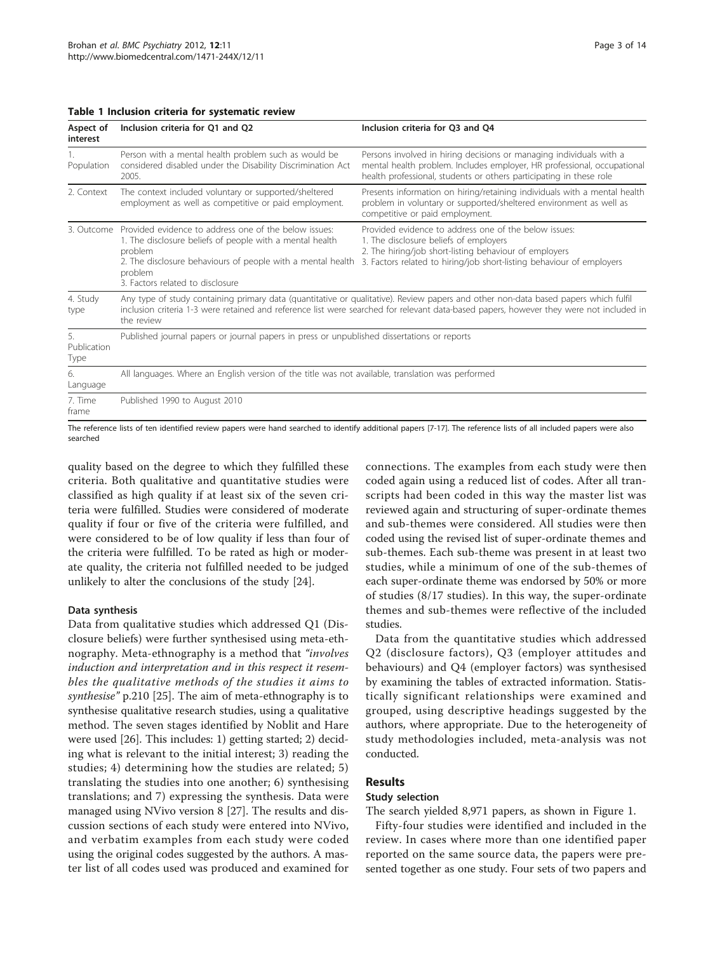<span id="page-2-0"></span>

|  |  |  |  |  | Table 1 Inclusion criteria for systematic review |  |
|--|--|--|--|--|--------------------------------------------------|--|
|--|--|--|--|--|--------------------------------------------------|--|

| Aspect of<br>interest     | Inclusion criteria for Q1 and Q2                                                                                                                                                                                                           | Inclusion criteria for Q3 and Q4                                                                                                                                                                                                                                               |
|---------------------------|--------------------------------------------------------------------------------------------------------------------------------------------------------------------------------------------------------------------------------------------|--------------------------------------------------------------------------------------------------------------------------------------------------------------------------------------------------------------------------------------------------------------------------------|
| Population                | Person with a mental health problem such as would be<br>considered disabled under the Disability Discrimination Act<br>2005.                                                                                                               | Persons involved in hiring decisions or managing individuals with a<br>mental health problem. Includes employer, HR professional, occupational<br>health professional, students or others participating in these role                                                          |
| 2. Context                | The context included voluntary or supported/sheltered<br>employment as well as competitive or paid employment.                                                                                                                             | Presents information on hiring/retaining individuals with a mental health<br>problem in voluntary or supported/sheltered environment as well as<br>competitive or paid employment.                                                                                             |
| 3. Outcome                | Provided evidence to address one of the below issues:<br>1. The disclosure beliefs of people with a mental health<br>problem<br>2. The disclosure behaviours of people with a mental health<br>problem<br>3. Factors related to disclosure | Provided evidence to address one of the below issues:<br>1. The disclosure beliefs of employers<br>2. The hiring/job short-listing behaviour of employers<br>3. Factors related to hiring/job short-listing behaviour of employers                                             |
| 4. Study<br>type          | the review                                                                                                                                                                                                                                 | Any type of study containing primary data (quantitative or qualitative). Review papers and other non-data based papers which fulfil<br>inclusion criteria 1-3 were retained and reference list were searched for relevant data-based papers, however they were not included in |
| 5.<br>Publication<br>Type | Published journal papers or journal papers in press or unpublished dissertations or reports                                                                                                                                                |                                                                                                                                                                                                                                                                                |
| 6.<br>Language            | All languages. Where an English version of the title was not available, translation was performed                                                                                                                                          |                                                                                                                                                                                                                                                                                |
| 7. Time<br>frame          | Published 1990 to August 2010                                                                                                                                                                                                              |                                                                                                                                                                                                                                                                                |

The reference lists of ten identified review papers were hand searched to identify additional papers [\[7-](#page-11-0)[17\]](#page-12-0). The reference lists of all included papers were also searched

quality based on the degree to which they fulfilled these criteria. Both qualitative and quantitative studies were classified as high quality if at least six of the seven criteria were fulfilled. Studies were considered of moderate quality if four or five of the criteria were fulfilled, and were considered to be of low quality if less than four of the criteria were fulfilled. To be rated as high or moderate quality, the criteria not fulfilled needed to be judged unlikely to alter the conclusions of the study [\[24\]](#page-12-0).

#### Data synthesis

Data from qualitative studies which addressed Q1 (Disclosure beliefs) were further synthesised using meta-ethnography. Meta-ethnography is a method that "involves" induction and interpretation and in this respect it resembles the qualitative methods of the studies it aims to synthesise" p.210 [\[25\]](#page-12-0). The aim of meta-ethnography is to synthesise qualitative research studies, using a qualitative method. The seven stages identified by Noblit and Hare were used [\[26\]](#page-12-0). This includes: 1) getting started; 2) deciding what is relevant to the initial interest; 3) reading the studies; 4) determining how the studies are related; 5) translating the studies into one another; 6) synthesising translations; and 7) expressing the synthesis. Data were managed using NVivo version 8 [[27\]](#page-12-0). The results and discussion sections of each study were entered into NVivo, and verbatim examples from each study were coded using the original codes suggested by the authors. A master list of all codes used was produced and examined for connections. The examples from each study were then coded again using a reduced list of codes. After all transcripts had been coded in this way the master list was reviewed again and structuring of super-ordinate themes and sub-themes were considered. All studies were then coded using the revised list of super-ordinate themes and sub-themes. Each sub-theme was present in at least two studies, while a minimum of one of the sub-themes of each super-ordinate theme was endorsed by 50% or more of studies (8/17 studies). In this way, the super-ordinate themes and sub-themes were reflective of the included studies.

Data from the quantitative studies which addressed Q2 (disclosure factors), Q3 (employer attitudes and behaviours) and Q4 (employer factors) was synthesised by examining the tables of extracted information. Statistically significant relationships were examined and grouped, using descriptive headings suggested by the authors, where appropriate. Due to the heterogeneity of study methodologies included, meta-analysis was not conducted.

## Results

## Study selection

The search yielded 8,971 papers, as shown in Figure [1.](#page-3-0)

Fifty-four studies were identified and included in the review. In cases where more than one identified paper reported on the same source data, the papers were presented together as one study. Four sets of two papers and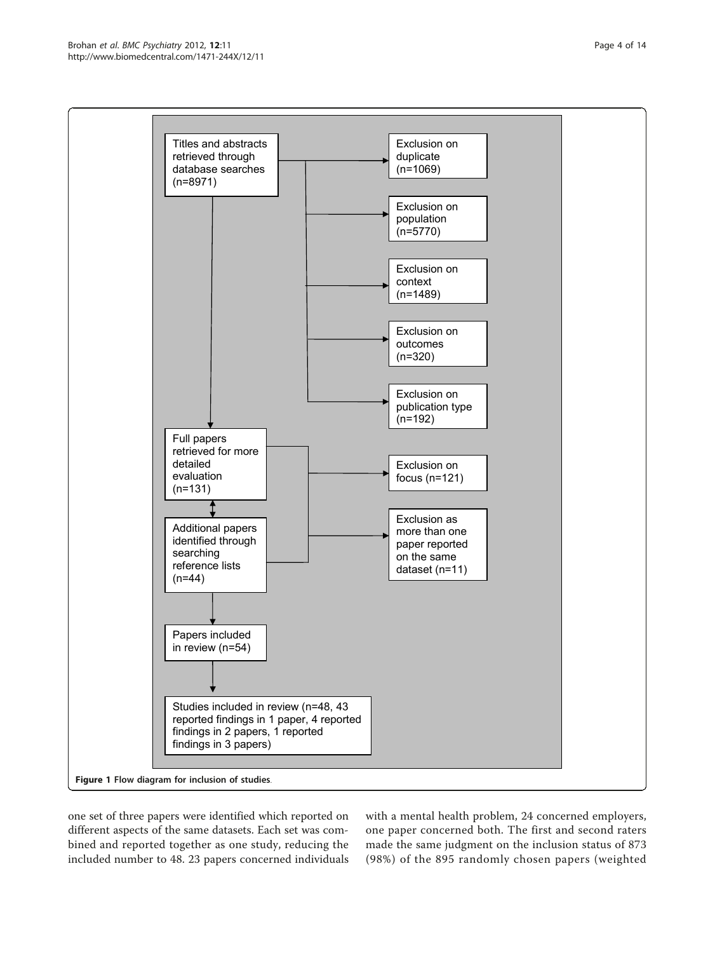<span id="page-3-0"></span>

one set of three papers were identified which reported on different aspects of the same datasets. Each set was combined and reported together as one study, reducing the included number to 48. 23 papers concerned individuals with a mental health problem, 24 concerned employers, one paper concerned both. The first and second raters made the same judgment on the inclusion status of 873 (98%) of the 895 randomly chosen papers (weighted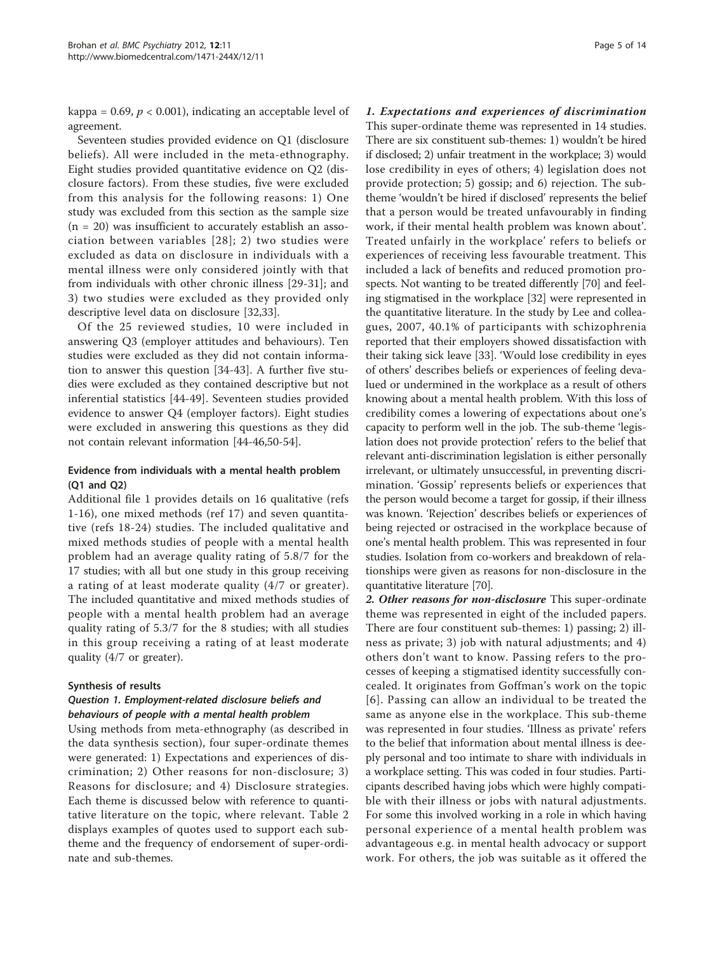kappa = 0.69,  $p < 0.001$ ), indicating an acceptable level of agreement.

Seventeen studies provided evidence on Q1 (disclosure beliefs). All were included in the meta-ethnography. Eight studies provided quantitative evidence on Q2 (disclosure factors). From these studies, five were excluded from this analysis for the following reasons: 1) One study was excluded from this section as the sample size  $(n = 20)$  was insufficient to accurately establish an association between variables [[28\]](#page-12-0); 2) two studies were excluded as data on disclosure in individuals with a mental illness were only considered jointly with that from individuals with other chronic illness [[29-31](#page-12-0)]; and 3) two studies were excluded as they provided only descriptive level data on disclosure [\[32,33\]](#page-12-0).

Of the 25 reviewed studies, 10 were included in answering Q3 (employer attitudes and behaviours). Ten studies were excluded as they did not contain information to answer this question [\[34](#page-12-0)-[43\]](#page-12-0). A further five studies were excluded as they contained descriptive but not inferential statistics [[44](#page-12-0)-[49\]](#page-12-0). Seventeen studies provided evidence to answer Q4 (employer factors). Eight studies were excluded in answering this questions as they did not contain relevant information [\[44](#page-12-0)-[46](#page-12-0),[50](#page-12-0)-[54\]](#page-12-0).

#### Evidence from individuals with a mental health problem (Q1 and Q2)

Additional file [1](#page-11-0) provides details on 16 qualitative (refs 1-16), one mixed methods (ref 17) and seven quantitative (refs 18-24) studies. The included qualitative and mixed methods studies of people with a mental health problem had an average quality rating of 5.8/7 for the 17 studies; with all but one study in this group receiving a rating of at least moderate quality (4/7 or greater). The included quantitative and mixed methods studies of people with a mental health problem had an average quality rating of 5.3/7 for the 8 studies; with all studies in this group receiving a rating of at least moderate quality (4/7 or greater).

#### Synthesis of results

## Question 1. Employment-related disclosure beliefs and behaviours of people with a mental health problem

Using methods from meta-ethnography (as described in the data synthesis section), four super-ordinate themes were generated: 1) Expectations and experiences of discrimination; 2) Other reasons for non-disclosure; 3) Reasons for disclosure; and 4) Disclosure strategies. Each theme is discussed below with reference to quantitative literature on the topic, where relevant. Table [2](#page-5-0) displays examples of quotes used to support each subtheme and the frequency of endorsement of super-ordinate and sub-themes.

## 1. Expectations and experiences of discrimination

This super-ordinate theme was represented in 14 studies. There are six constituent sub-themes: 1) wouldn't be hired if disclosed; 2) unfair treatment in the workplace; 3) would lose credibility in eyes of others; 4) legislation does not provide protection; 5) gossip; and 6) rejection. The subtheme 'wouldn't be hired if disclosed' represents the belief that a person would be treated unfavourably in finding work, if their mental health problem was known about'. Treated unfairly in the workplace' refers to beliefs or experiences of receiving less favourable treatment. This included a lack of benefits and reduced promotion prospects. Not wanting to be treated differently [[70](#page-13-0)] and feeling stigmatised in the workplace [\[32](#page-12-0)] were represented in the quantitative literature. In the study by Lee and colleagues, 2007, 40.1% of participants with schizophrenia reported that their employers showed dissatisfaction with their taking sick leave [[33\]](#page-12-0). 'Would lose credibility in eyes of others' describes beliefs or experiences of feeling devalued or undermined in the workplace as a result of others knowing about a mental health problem. With this loss of credibility comes a lowering of expectations about one's capacity to perform well in the job. The sub-theme 'legislation does not provide protection' refers to the belief that relevant anti-discrimination legislation is either personally irrelevant, or ultimately unsuccessful, in preventing discrimination. 'Gossip' represents beliefs or experiences that the person would become a target for gossip, if their illness was known. 'Rejection' describes beliefs or experiences of being rejected or ostracised in the workplace because of one's mental health problem. This was represented in four studies. Isolation from co-workers and breakdown of relationships were given as reasons for non-disclosure in the quantitative literature [\[70\]](#page-13-0).

2. Other reasons for non-disclosure This super-ordinate theme was represented in eight of the included papers. There are four constituent sub-themes: 1) passing; 2) illness as private; 3) job with natural adjustments; and 4) others don't want to know. Passing refers to the processes of keeping a stigmatised identity successfully concealed. It originates from Goffman's work on the topic [[6\]](#page-11-0). Passing can allow an individual to be treated the same as anyone else in the workplace. This sub-theme was represented in four studies. 'Illness as private' refers to the belief that information about mental illness is deeply personal and too intimate to share with individuals in a workplace setting. This was coded in four studies. Participants described having jobs which were highly compatible with their illness or jobs with natural adjustments. For some this involved working in a role in which having personal experience of a mental health problem was advantageous e.g. in mental health advocacy or support work. For others, the job was suitable as it offered the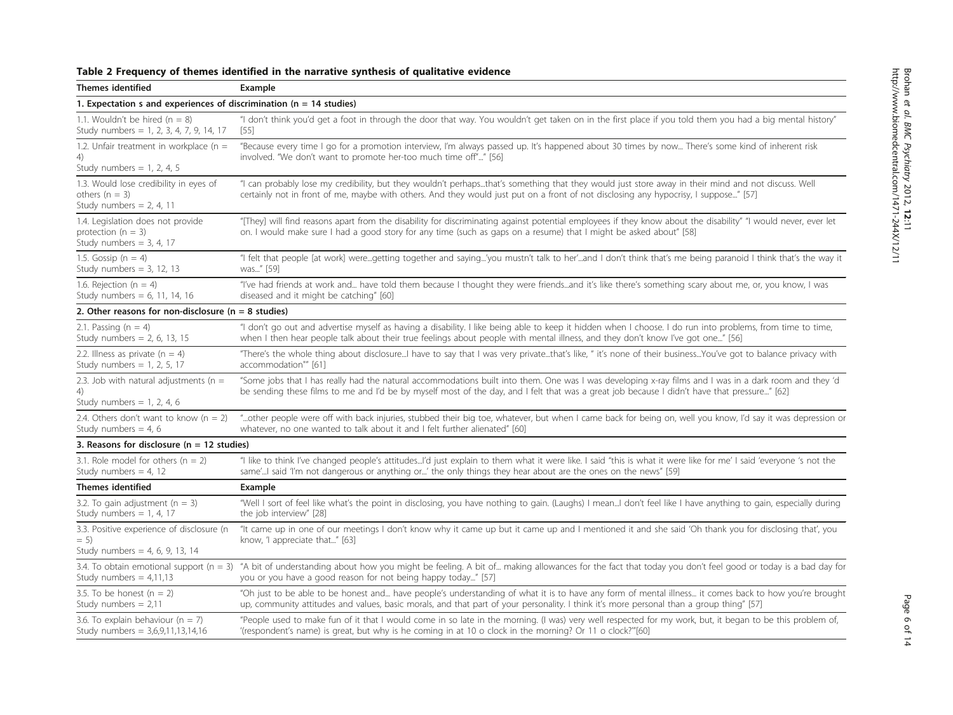<span id="page-5-0"></span>

| Table 2 Frequency of themes identified in the narrative synthesis of qualitative evidence |  |  |  |
|-------------------------------------------------------------------------------------------|--|--|--|
|-------------------------------------------------------------------------------------------|--|--|--|

| Themes identified                                                                         | Example                                                                                                                                                                                                                                                                                                |  |  |  |
|-------------------------------------------------------------------------------------------|--------------------------------------------------------------------------------------------------------------------------------------------------------------------------------------------------------------------------------------------------------------------------------------------------------|--|--|--|
| 1. Expectation s and experiences of discrimination ( $n = 14$ studies)                    |                                                                                                                                                                                                                                                                                                        |  |  |  |
| 1.1. Wouldn't be hired $(n = 8)$<br>Study numbers = 1, 2, 3, 4, 7, 9, 14, 17              | "I don't think you'd get a foot in through the door that way. You wouldn't get taken on in the first place if you told them you had a big mental history"<br>[55]                                                                                                                                      |  |  |  |
| 1.2. Unfair treatment in workplace ( $n =$<br>4)<br>Study numbers = $1, 2, 4, 5$          | "Because every time I go for a promotion interview, I'm always passed up. It's happened about 30 times by now There's some kind of inherent risk<br>involved. "We don't want to promote her-too much time off"" [56]                                                                                   |  |  |  |
| 1.3. Would lose credibility in eyes of<br>others $(n = 3)$<br>Study numbers = $2, 4, 11$  | "I can probably lose my credibility, but they wouldn't perhapsthat's something that they would just store away in their mind and not discuss. Well<br>certainly not in front of me, maybe with others. And they would just put on a front of not disclosing any hypocrisy, I suppose" [57]             |  |  |  |
| 1.4. Legislation does not provide<br>protection ( $n = 3$ )<br>Study numbers = $3, 4, 17$ | "[They] will find reasons apart from the disability for discriminating against potential employees if they know about the disability" "I would never, ever let<br>on. I would make sure I had a good story for any time (such as gaps on a resume) that I might be asked about" [58]                   |  |  |  |
| 1.5. Gossip ( $n = 4$ )<br>Study numbers = $3, 12, 13$                                    | "I felt that people [at work] weregetting together and saying'you mustn't talk to her'and I don't think that's me being paranoid I think that's the way it<br>was" [59]                                                                                                                                |  |  |  |
| 1.6. Rejection ( $n = 4$ )<br>Study numbers = $6, 11, 14, 16$                             | "I've had friends at work and have told them because I thought they were friendsand it's like there's something scary about me, or, you know, I was<br>diseased and it might be catching" [60]                                                                                                         |  |  |  |
| 2. Other reasons for non-disclosure ( $n = 8$ studies)                                    |                                                                                                                                                                                                                                                                                                        |  |  |  |
| 2.1. Passing $(n = 4)$<br>Study numbers = $2, 6, 13, 15$                                  | "I don't go out and advertise myself as having a disability. I like being able to keep it hidden when I choose. I do run into problems, from time to time,<br>when I then hear people talk about their true feelings about people with mental illness, and they don't know I've got one" [56]          |  |  |  |
| 2.2. Illness as private ( $n = 4$ )<br>Study numbers = $1, 2, 5, 17$                      | "There's the whole thing about disclosureI have to say that I was very privatethat's like, " it's none of their businessYou've got to balance privacy with<br>accommodation"" [61]                                                                                                                     |  |  |  |
| 2.3. Job with natural adjustments ( $n =$<br>4)<br>Study numbers = $1, 2, 4, 6$           | "Some jobs that I has really had the natural accommodations built into them. One was I was developing x-ray films and I was in a dark room and they 'd<br>be sending these films to me and I'd be by myself most of the day, and I felt that was a great job because I didn't have that pressure" [62] |  |  |  |
| 2.4. Others don't want to know $(n = 2)$<br>Study numbers = 4, 6                          | "other people were off with back injuries, stubbed their big toe, whatever, but when I came back for being on, well you know, I'd say it was depression or<br>whatever, no one wanted to talk about it and I felt further alienated" [60]                                                              |  |  |  |
| 3. Reasons for disclosure ( $n = 12$ studies)                                             |                                                                                                                                                                                                                                                                                                        |  |  |  |
| 3.1. Role model for others ( $n = 2$ )<br>Study numbers = 4, 12                           | "I like to think I've changed people's attitudesI'd just explain to them what it were like. I said "this is what it were like for me' I said 'everyone 's not the<br>same'! said 'I'm not dangerous or anything or' the only things they hear about are the ones on the news" [59]                     |  |  |  |
| <b>Themes identified</b>                                                                  | Example                                                                                                                                                                                                                                                                                                |  |  |  |
| 3.2. To gain adjustment $(n = 3)$<br>Study numbers = $1, 4, 17$                           | "Well I sort of feel like what's the point in disclosing, you have nothing to gain. (Laughs) I meanI don't feel like I have anything to gain, especially during<br>the job interview" [28]                                                                                                             |  |  |  |
| 3.3. Positive experience of disclosure (n<br>$= 5$<br>Study numbers = $4, 6, 9, 13, 14$   | "It came up in one of our meetings I don't know why it came up but it came up and I mentioned it and she said 'Oh thank you for disclosing that', you<br>know, 'I appreciate that" [63]                                                                                                                |  |  |  |
| Study numbers = $4,11,13$                                                                 | 3.4. To obtain emotional support (n = 3) "A bit of understanding about how you might be feeling. A bit of making allowances for the fact that today you don't feel good or today is a bad day for<br>you or you have a good reason for not being happy today" [57]                                     |  |  |  |
| 3.5. To be honest $(n = 2)$<br>Study numbers = $2,11$                                     | "Oh just to be able to be honest and have people's understanding of what it is to have any form of mental illness it comes back to how you're brought<br>up, community attitudes and values, basic morals, and that part of your personality. I think it's more personal than a group thing" [57]      |  |  |  |
| 3.6. To explain behaviour ( $n = 7$ )<br>Study numbers = $3,6,9,11,13,14,16$              | "People used to make fun of it that I would come in so late in the morning. (I was) very well respected for my work, but, it began to be this problem of,<br>'(respondent's name) is great, but why is he coming in at 10 o clock in the morning? Or 11 o clock?"'[60]                                 |  |  |  |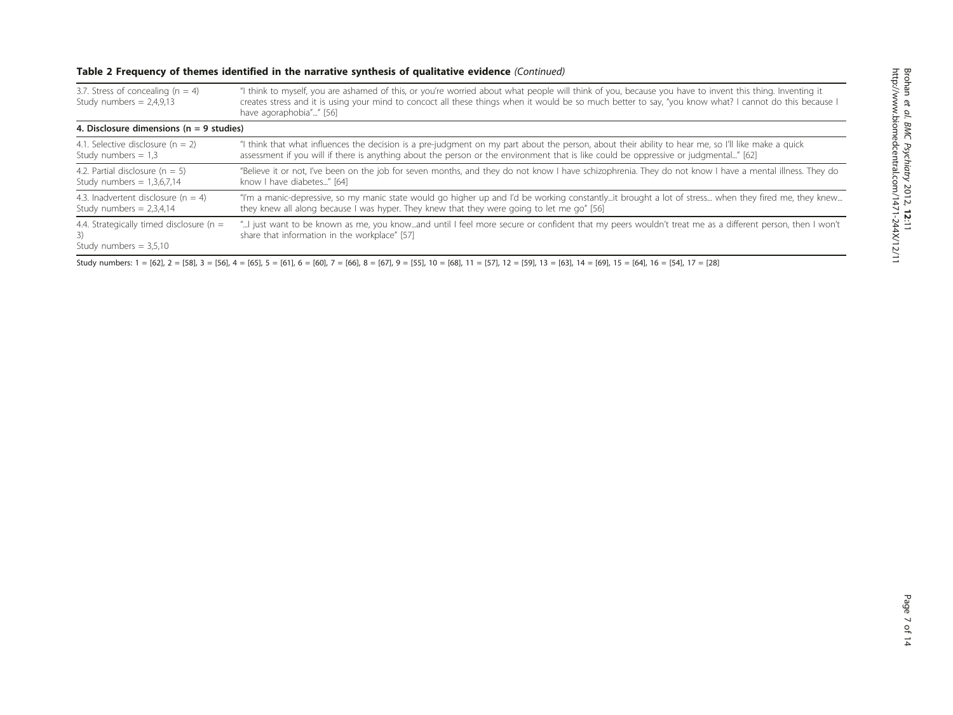## Table 2 Frequency of themes identified in the narrative synthesis of qualitative evidence (Continued)

| 3.7. Stress of concealing ( $n = 4$ )<br>Study numbers = $2,4,9,13$           | "I think to myself, you are ashamed of this, or you're worried about what people will think of you, because you have to invent this thing. Inventing it<br>creates stress and it is using your mind to concoct all these things when it would be so much better to say, "you know what? I cannot do this because I<br>have agoraphobia"" [56] |  |  |  |
|-------------------------------------------------------------------------------|-----------------------------------------------------------------------------------------------------------------------------------------------------------------------------------------------------------------------------------------------------------------------------------------------------------------------------------------------|--|--|--|
| 4. Disclosure dimensions ( $n = 9$ studies)                                   |                                                                                                                                                                                                                                                                                                                                               |  |  |  |
| 4.1. Selective disclosure ( $n = 2$ )                                         | "I think that what influences the decision is a pre-judgment on my part about the person, about their ability to hear me, so I'll like make a quick                                                                                                                                                                                           |  |  |  |
| Study numbers $= 1.3$                                                         | assessment if you will if there is anything about the person or the environment that is like could be oppressive or judgmental" [62]                                                                                                                                                                                                          |  |  |  |
| 4.2. Partial disclosure $(n = 5)$                                             | "Believe it or not, I've been on the job for seven months, and they do not know I have schizophrenia. They do not know I have a mental illness. They do                                                                                                                                                                                       |  |  |  |
| Study numbers = $1,3,6,7,14$                                                  | know I have diabetes" [64]                                                                                                                                                                                                                                                                                                                    |  |  |  |
| 4.3. Inadvertent disclosure $(n = 4)$                                         | "I'm a manic-depressive, so my manic state would go higher up and I'd be working constantlyit brought a lot of stress when they fired me, they knew                                                                                                                                                                                           |  |  |  |
| Study numbers = $2,3,4,14$                                                    | they knew all along because I was hyper. They knew that they were going to let me go" [56]                                                                                                                                                                                                                                                    |  |  |  |
| 4.4. Strategically timed disclosure ( $n =$<br>3)<br>Study numbers $= 3.5.10$ | "I just want to be known as me, you knowand until I feel more secure or confident that my peers wouldn't treat me as a different person, then I won't<br>share that information in the workplace" [57]                                                                                                                                        |  |  |  |

Study numbers: 1 = [[62\]](#page-12-0), 2 = [[58](#page-12-0)], 3 = [\[56](#page-12-0)], 4 = [\[65](#page-12-0)], 5 = [[61\]](#page-12-0), 6 = [[60\]](#page-12-0), 7 = [[66\]](#page-12-0), 8 = [[67](#page-12-0)], 9 = [\[55](#page-12-0)], 10 = [[68\]](#page-12-0), 11 = [[57\]](#page-12-0), 12 = [\[59\]](#page-12-0), 13 = [\[63](#page-12-0)], 14 = [[69](#page-12-0)], 15 = [[64\]](#page-12-0), 16 = [\[54\]](#page-12-0), 17 = [\[28](#page-12-0)]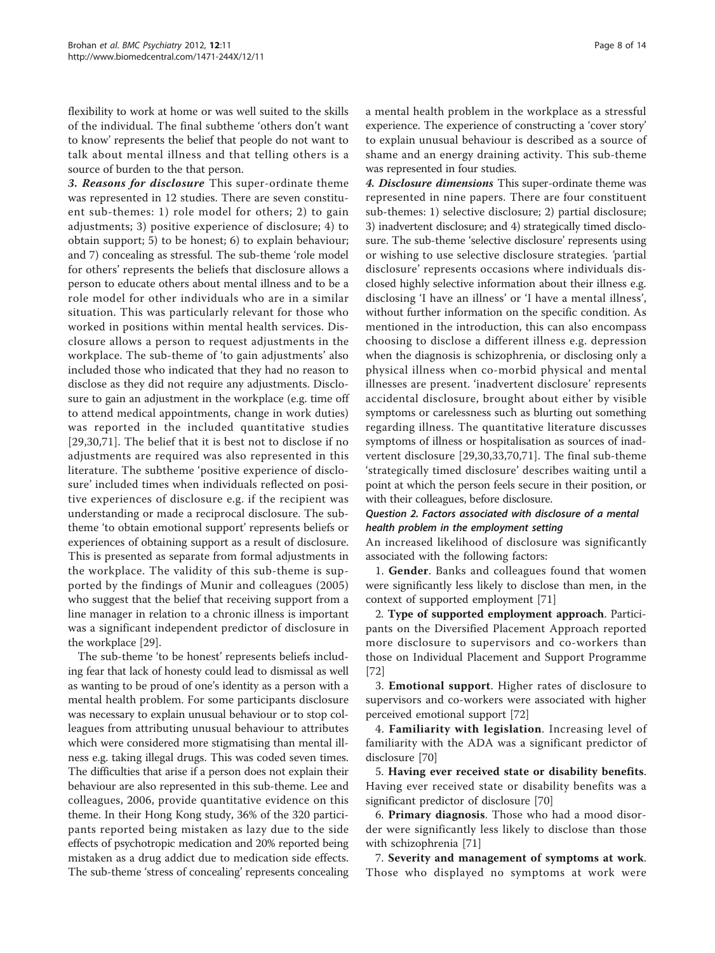flexibility to work at home or was well suited to the skills of the individual. The final subtheme 'others don't want to know' represents the belief that people do not want to talk about mental illness and that telling others is a source of burden to the that person.

3. Reasons for disclosure This super-ordinate theme was represented in 12 studies. There are seven constituent sub-themes: 1) role model for others; 2) to gain adjustments; 3) positive experience of disclosure; 4) to obtain support; 5) to be honest; 6) to explain behaviour; and 7) concealing as stressful. The sub-theme 'role model for others' represents the beliefs that disclosure allows a person to educate others about mental illness and to be a role model for other individuals who are in a similar situation. This was particularly relevant for those who worked in positions within mental health services. Disclosure allows a person to request adjustments in the workplace. The sub-theme of 'to gain adjustments' also included those who indicated that they had no reason to disclose as they did not require any adjustments. Disclosure to gain an adjustment in the workplace (e.g. time off to attend medical appointments, change in work duties) was reported in the included quantitative studies [[29,30](#page-12-0),[71\]](#page-13-0). The belief that it is best not to disclose if no adjustments are required was also represented in this literature. The subtheme 'positive experience of disclosure' included times when individuals reflected on positive experiences of disclosure e.g. if the recipient was understanding or made a reciprocal disclosure. The subtheme 'to obtain emotional support' represents beliefs or experiences of obtaining support as a result of disclosure. This is presented as separate from formal adjustments in the workplace. The validity of this sub-theme is supported by the findings of Munir and colleagues (2005) who suggest that the belief that receiving support from a line manager in relation to a chronic illness is important was a significant independent predictor of disclosure in the workplace [\[29](#page-12-0)].

The sub-theme 'to be honest' represents beliefs including fear that lack of honesty could lead to dismissal as well as wanting to be proud of one's identity as a person with a mental health problem. For some participants disclosure was necessary to explain unusual behaviour or to stop colleagues from attributing unusual behaviour to attributes which were considered more stigmatising than mental illness e.g. taking illegal drugs. This was coded seven times. The difficulties that arise if a person does not explain their behaviour are also represented in this sub-theme. Lee and colleagues, 2006, provide quantitative evidence on this theme. In their Hong Kong study, 36% of the 320 participants reported being mistaken as lazy due to the side effects of psychotropic medication and 20% reported being mistaken as a drug addict due to medication side effects. The sub-theme 'stress of concealing' represents concealing a mental health problem in the workplace as a stressful experience. The experience of constructing a 'cover story' to explain unusual behaviour is described as a source of shame and an energy draining activity. This sub-theme was represented in four studies.

4. Disclosure dimensions This super-ordinate theme was represented in nine papers. There are four constituent sub-themes: 1) selective disclosure; 2) partial disclosure; 3) inadvertent disclosure; and 4) strategically timed disclosure. The sub-theme 'selective disclosure' represents using or wishing to use selective disclosure strategies. 'partial disclosure' represents occasions where individuals disclosed highly selective information about their illness e.g. disclosing 'I have an illness' or 'I have a mental illness', without further information on the specific condition. As mentioned in the introduction, this can also encompass choosing to disclose a different illness e.g. depression when the diagnosis is schizophrenia, or disclosing only a physical illness when co-morbid physical and mental illnesses are present. 'inadvertent disclosure' represents accidental disclosure, brought about either by visible symptoms or carelessness such as blurting out something regarding illness. The quantitative literature discusses symptoms of illness or hospitalisation as sources of inadvertent disclosure [[29,30,33](#page-12-0),[70,71\]](#page-13-0). The final sub-theme 'strategically timed disclosure' describes waiting until a point at which the person feels secure in their position, or with their colleagues, before disclosure.

## Question 2. Factors associated with disclosure of a mental health problem in the employment setting

An increased likelihood of disclosure was significantly associated with the following factors:

1. Gender. Banks and colleagues found that women were significantly less likely to disclose than men, in the context of supported employment [[71\]](#page-13-0)

2. Type of supported employment approach. Participants on the Diversified Placement Approach reported more disclosure to supervisors and co-workers than those on Individual Placement and Support Programme [[72\]](#page-13-0)

3. Emotional support. Higher rates of disclosure to supervisors and co-workers were associated with higher perceived emotional support [\[72\]](#page-13-0)

4. Familiarity with legislation. Increasing level of familiarity with the ADA was a significant predictor of disclosure [[70](#page-13-0)]

5. Having ever received state or disability benefits. Having ever received state or disability benefits was a significant predictor of disclosure [\[70](#page-13-0)]

6. Primary diagnosis. Those who had a mood disorder were significantly less likely to disclose than those with schizophrenia [\[71](#page-13-0)]

7. Severity and management of symptoms at work. Those who displayed no symptoms at work were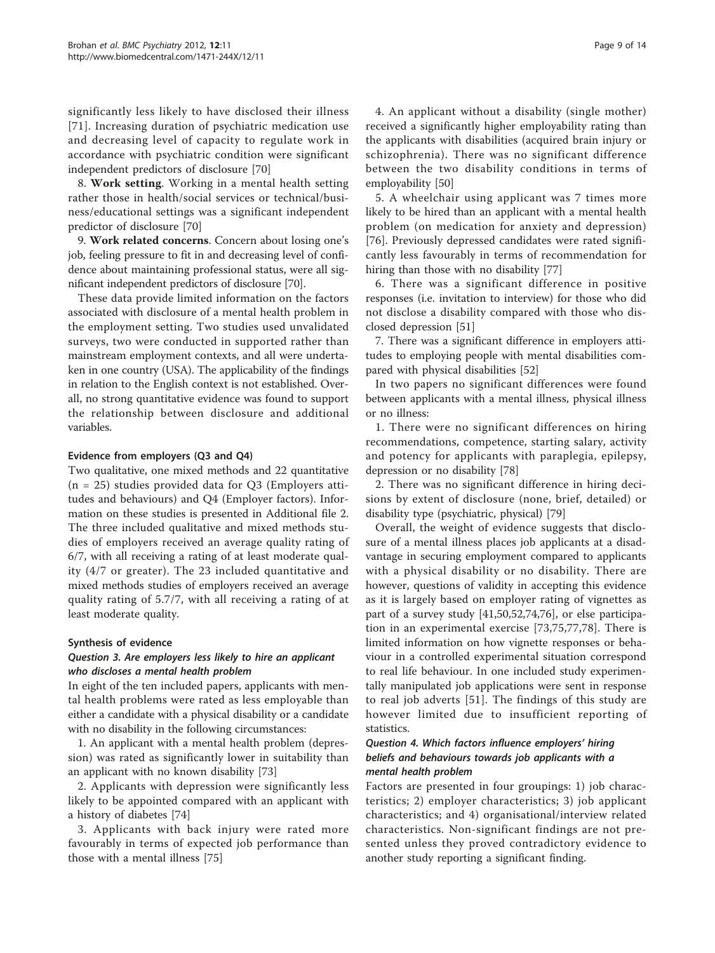significantly less likely to have disclosed their illness [[71](#page-13-0)]. Increasing duration of psychiatric medication use and decreasing level of capacity to regulate work in accordance with psychiatric condition were significant independent predictors of disclosure [[70\]](#page-13-0)

8. Work setting. Working in a mental health setting rather those in health/social services or technical/business/educational settings was a significant independent predictor of disclosure [\[70](#page-13-0)]

9. Work related concerns. Concern about losing one's job, feeling pressure to fit in and decreasing level of confidence about maintaining professional status, were all significant independent predictors of disclosure [\[70\]](#page-13-0).

These data provide limited information on the factors associated with disclosure of a mental health problem in the employment setting. Two studies used unvalidated surveys, two were conducted in supported rather than mainstream employment contexts, and all were undertaken in one country (USA). The applicability of the findings in relation to the English context is not established. Overall, no strong quantitative evidence was found to support the relationship between disclosure and additional variables.

#### Evidence from employers (Q3 and Q4)

Two qualitative, one mixed methods and 22 quantitative  $(n = 25)$  studies provided data for Q3 (Employers attitudes and behaviours) and Q4 (Employer factors). Information on these studies is presented in Additional file [2](#page-11-0). The three included qualitative and mixed methods studies of employers received an average quality rating of 6/7, with all receiving a rating of at least moderate quality (4/7 or greater). The 23 included quantitative and mixed methods studies of employers received an average quality rating of 5.7/7, with all receiving a rating of at least moderate quality.

#### Synthesis of evidence

#### Question 3. Are employers less likely to hire an applicant who discloses a mental health problem

In eight of the ten included papers, applicants with mental health problems were rated as less employable than either a candidate with a physical disability or a candidate with no disability in the following circumstances:

1. An applicant with a mental health problem (depression) was rated as significantly lower in suitability than an applicant with no known disability [\[73\]](#page-13-0)

2. Applicants with depression were significantly less likely to be appointed compared with an applicant with a history of diabetes [[74\]](#page-13-0)

3. Applicants with back injury were rated more favourably in terms of expected job performance than those with a mental illness [[75\]](#page-13-0)

4. An applicant without a disability (single mother) received a significantly higher employability rating than the applicants with disabilities (acquired brain injury or schizophrenia). There was no significant difference between the two disability conditions in terms of employability [\[50](#page-12-0)]

5. A wheelchair using applicant was 7 times more likely to be hired than an applicant with a mental health problem (on medication for anxiety and depression) [[76\]](#page-13-0). Previously depressed candidates were rated significantly less favourably in terms of recommendation for hiring than those with no disability [[77\]](#page-13-0)

6. There was a significant difference in positive responses (i.e. invitation to interview) for those who did not disclose a disability compared with those who disclosed depression [\[51\]](#page-12-0)

7. There was a significant difference in employers attitudes to employing people with mental disabilities compared with physical disabilities [\[52](#page-12-0)]

In two papers no significant differences were found between applicants with a mental illness, physical illness or no illness:

1. There were no significant differences on hiring recommendations, competence, starting salary, activity and potency for applicants with paraplegia, epilepsy, depression or no disability [[78](#page-13-0)]

2. There was no significant difference in hiring decisions by extent of disclosure (none, brief, detailed) or disability type (psychiatric, physical) [[79](#page-13-0)]

Overall, the weight of evidence suggests that disclosure of a mental illness places job applicants at a disadvantage in securing employment compared to applicants with a physical disability or no disability. There are however, questions of validity in accepting this evidence as it is largely based on employer rating of vignettes as part of a survey study [\[41,50,52,](#page-12-0)[74,76\]](#page-13-0), or else participation in an experimental exercise [[73,75,77,78\]](#page-13-0). There is limited information on how vignette responses or behaviour in a controlled experimental situation correspond to real life behaviour. In one included study experimentally manipulated job applications were sent in response to real job adverts [[51\]](#page-12-0). The findings of this study are however limited due to insufficient reporting of statistics.

## Question 4. Which factors influence employers' hiring beliefs and behaviours towards job applicants with a mental health problem

Factors are presented in four groupings: 1) job characteristics; 2) employer characteristics; 3) job applicant characteristics; and 4) organisational/interview related characteristics. Non-significant findings are not presented unless they proved contradictory evidence to another study reporting a significant finding.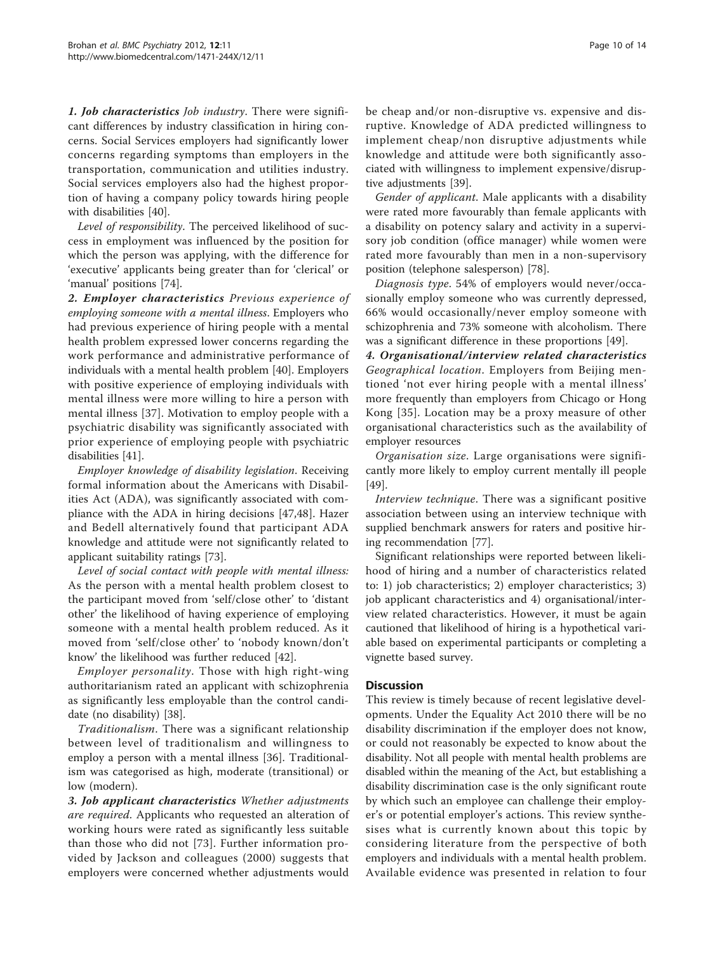1. **Job characteristics** *Job industry*. There were significant differences by industry classification in hiring concerns. Social Services employers had significantly lower concerns regarding symptoms than employers in the transportation, communication and utilities industry. Social services employers also had the highest proportion of having a company policy towards hiring people with disabilities [[40](#page-12-0)].

Level of responsibility. The perceived likelihood of success in employment was influenced by the position for which the person was applying, with the difference for 'executive' applicants being greater than for 'clerical' or 'manual' positions [[74\]](#page-13-0).

2. Employer characteristics Previous experience of employing someone with a mental illness. Employers who had previous experience of hiring people with a mental health problem expressed lower concerns regarding the work performance and administrative performance of individuals with a mental health problem [[40\]](#page-12-0). Employers with positive experience of employing individuals with mental illness were more willing to hire a person with mental illness [[37](#page-12-0)]. Motivation to employ people with a psychiatric disability was significantly associated with prior experience of employing people with psychiatric disabilities [[41\]](#page-12-0).

Employer knowledge of disability legislation. Receiving formal information about the Americans with Disabilities Act (ADA), was significantly associated with compliance with the ADA in hiring decisions [\[47,48](#page-12-0)]. Hazer and Bedell alternatively found that participant ADA knowledge and attitude were not significantly related to applicant suitability ratings [[73](#page-13-0)].

Level of social contact with people with mental illness: As the person with a mental health problem closest to the participant moved from 'self/close other' to 'distant other' the likelihood of having experience of employing someone with a mental health problem reduced. As it moved from 'self/close other' to 'nobody known/don't know' the likelihood was further reduced [[42\]](#page-12-0).

Employer personality. Those with high right-wing authoritarianism rated an applicant with schizophrenia as significantly less employable than the control candidate (no disability) [[38](#page-12-0)].

Traditionalism. There was a significant relationship between level of traditionalism and willingness to employ a person with a mental illness [\[36](#page-12-0)]. Traditionalism was categorised as high, moderate (transitional) or low (modern).

3. Job applicant characteristics Whether adjustments are required. Applicants who requested an alteration of working hours were rated as significantly less suitable than those who did not [\[73](#page-13-0)]. Further information provided by Jackson and colleagues (2000) suggests that employers were concerned whether adjustments would be cheap and/or non-disruptive vs. expensive and disruptive. Knowledge of ADA predicted willingness to implement cheap/non disruptive adjustments while knowledge and attitude were both significantly associated with willingness to implement expensive/disruptive adjustments [[39\]](#page-12-0).

Gender of applicant. Male applicants with a disability were rated more favourably than female applicants with a disability on potency salary and activity in a supervisory job condition (office manager) while women were rated more favourably than men in a non-supervisory position (telephone salesperson) [[78](#page-13-0)].

Diagnosis type. 54% of employers would never/occasionally employ someone who was currently depressed, 66% would occasionally/never employ someone with schizophrenia and 73% someone with alcoholism. There was a significant difference in these proportions [\[49\]](#page-12-0).

4. Organisational/interview related characteristics Geographical location. Employers from Beijing mentioned 'not ever hiring people with a mental illness' more frequently than employers from Chicago or Hong Kong [[35](#page-12-0)]. Location may be a proxy measure of other organisational characteristics such as the availability of employer resources

Organisation size. Large organisations were significantly more likely to employ current mentally ill people [[49\]](#page-12-0).

Interview technique. There was a significant positive association between using an interview technique with supplied benchmark answers for raters and positive hiring recommendation [\[77](#page-13-0)].

Significant relationships were reported between likelihood of hiring and a number of characteristics related to: 1) job characteristics; 2) employer characteristics; 3) job applicant characteristics and 4) organisational/interview related characteristics. However, it must be again cautioned that likelihood of hiring is a hypothetical variable based on experimental participants or completing a vignette based survey.

#### **Discussion**

This review is timely because of recent legislative developments. Under the Equality Act 2010 there will be no disability discrimination if the employer does not know, or could not reasonably be expected to know about the disability. Not all people with mental health problems are disabled within the meaning of the Act, but establishing a disability discrimination case is the only significant route by which such an employee can challenge their employer's or potential employer's actions. This review synthesises what is currently known about this topic by considering literature from the perspective of both employers and individuals with a mental health problem. Available evidence was presented in relation to four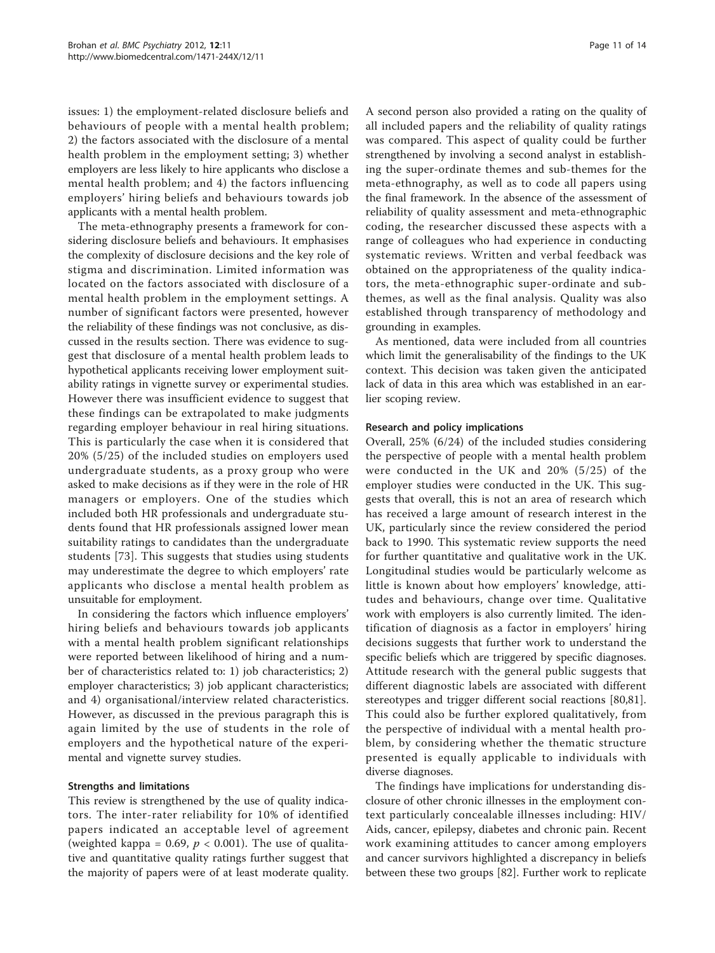issues: 1) the employment-related disclosure beliefs and behaviours of people with a mental health problem; 2) the factors associated with the disclosure of a mental health problem in the employment setting; 3) whether employers are less likely to hire applicants who disclose a mental health problem; and 4) the factors influencing employers' hiring beliefs and behaviours towards job applicants with a mental health problem.

The meta-ethnography presents a framework for considering disclosure beliefs and behaviours. It emphasises the complexity of disclosure decisions and the key role of stigma and discrimination. Limited information was located on the factors associated with disclosure of a mental health problem in the employment settings. A number of significant factors were presented, however the reliability of these findings was not conclusive, as discussed in the results section. There was evidence to suggest that disclosure of a mental health problem leads to hypothetical applicants receiving lower employment suitability ratings in vignette survey or experimental studies. However there was insufficient evidence to suggest that these findings can be extrapolated to make judgments regarding employer behaviour in real hiring situations. This is particularly the case when it is considered that 20% (5/25) of the included studies on employers used undergraduate students, as a proxy group who were asked to make decisions as if they were in the role of HR managers or employers. One of the studies which included both HR professionals and undergraduate students found that HR professionals assigned lower mean suitability ratings to candidates than the undergraduate students [[73\]](#page-13-0). This suggests that studies using students may underestimate the degree to which employers' rate applicants who disclose a mental health problem as unsuitable for employment.

In considering the factors which influence employers' hiring beliefs and behaviours towards job applicants with a mental health problem significant relationships were reported between likelihood of hiring and a number of characteristics related to: 1) job characteristics; 2) employer characteristics; 3) job applicant characteristics; and 4) organisational/interview related characteristics. However, as discussed in the previous paragraph this is again limited by the use of students in the role of employers and the hypothetical nature of the experimental and vignette survey studies.

#### Strengths and limitations

This review is strengthened by the use of quality indicators. The inter-rater reliability for 10% of identified papers indicated an acceptable level of agreement (weighted kappa = 0.69,  $p < 0.001$ ). The use of qualitative and quantitative quality ratings further suggest that the majority of papers were of at least moderate quality.

A second person also provided a rating on the quality of all included papers and the reliability of quality ratings was compared. This aspect of quality could be further strengthened by involving a second analyst in establishing the super-ordinate themes and sub-themes for the meta-ethnography, as well as to code all papers using the final framework. In the absence of the assessment of reliability of quality assessment and meta-ethnographic coding, the researcher discussed these aspects with a range of colleagues who had experience in conducting systematic reviews. Written and verbal feedback was obtained on the appropriateness of the quality indicators, the meta-ethnographic super-ordinate and subthemes, as well as the final analysis. Quality was also established through transparency of methodology and grounding in examples.

As mentioned, data were included from all countries which limit the generalisability of the findings to the UK context. This decision was taken given the anticipated lack of data in this area which was established in an earlier scoping review.

#### Research and policy implications

Overall, 25% (6/24) of the included studies considering the perspective of people with a mental health problem were conducted in the UK and 20% (5/25) of the employer studies were conducted in the UK. This suggests that overall, this is not an area of research which has received a large amount of research interest in the UK, particularly since the review considered the period back to 1990. This systematic review supports the need for further quantitative and qualitative work in the UK. Longitudinal studies would be particularly welcome as little is known about how employers' knowledge, attitudes and behaviours, change over time. Qualitative work with employers is also currently limited. The identification of diagnosis as a factor in employers' hiring decisions suggests that further work to understand the specific beliefs which are triggered by specific diagnoses. Attitude research with the general public suggests that different diagnostic labels are associated with different stereotypes and trigger different social reactions [\[80,81](#page-13-0)]. This could also be further explored qualitatively, from the perspective of individual with a mental health problem, by considering whether the thematic structure presented is equally applicable to individuals with diverse diagnoses.

The findings have implications for understanding disclosure of other chronic illnesses in the employment context particularly concealable illnesses including: HIV/ Aids, cancer, epilepsy, diabetes and chronic pain. Recent work examining attitudes to cancer among employers and cancer survivors highlighted a discrepancy in beliefs between these two groups [\[82](#page-13-0)]. Further work to replicate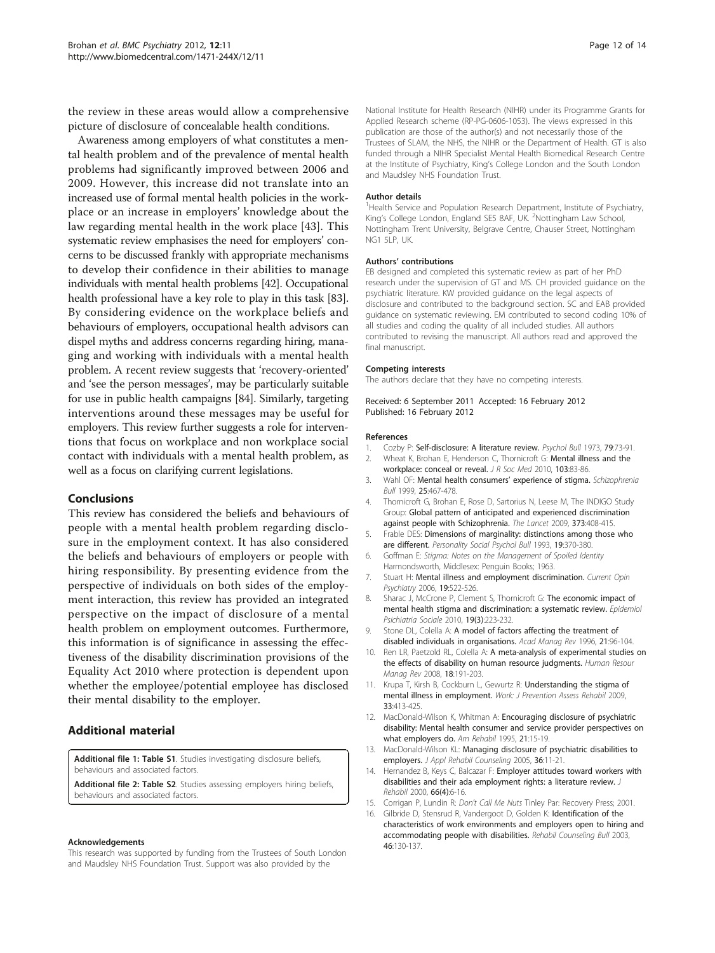<span id="page-11-0"></span>the review in these areas would allow a comprehensive picture of disclosure of concealable health conditions.

Awareness among employers of what constitutes a mental health problem and of the prevalence of mental health problems had significantly improved between 2006 and 2009. However, this increase did not translate into an increased use of formal mental health policies in the workplace or an increase in employers' knowledge about the law regarding mental health in the work place [[43\]](#page-12-0). This systematic review emphasises the need for employers' concerns to be discussed frankly with appropriate mechanisms to develop their confidence in their abilities to manage individuals with mental health problems [[42](#page-12-0)]. Occupational health professional have a key role to play in this task [[83](#page-13-0)]. By considering evidence on the workplace beliefs and behaviours of employers, occupational health advisors can dispel myths and address concerns regarding hiring, managing and working with individuals with a mental health problem. A recent review suggests that 'recovery-oriented' and 'see the person messages', may be particularly suitable for use in public health campaigns [[84](#page-13-0)]. Similarly, targeting interventions around these messages may be useful for employers. This review further suggests a role for interventions that focus on workplace and non workplace social contact with individuals with a mental health problem, as well as a focus on clarifying current legislations.

#### Conclusions

This review has considered the beliefs and behaviours of people with a mental health problem regarding disclosure in the employment context. It has also considered the beliefs and behaviours of employers or people with hiring responsibility. By presenting evidence from the perspective of individuals on both sides of the employment interaction, this review has provided an integrated perspective on the impact of disclosure of a mental health problem on employment outcomes. Furthermore, this information is of significance in assessing the effectiveness of the disability discrimination provisions of the Equality Act 2010 where protection is dependent upon whether the employee/potential employee has disclosed their mental disability to the employer.

#### Additional material

[Additional file 1: T](http://www.biomedcentral.com/content/supplementary/1471-244X-12-11-S1.DOC)able S1. Studies investigating disclosure beliefs, behaviours and associated factors.

[Additional file 2: T](http://www.biomedcentral.com/content/supplementary/1471-244X-12-11-S2.DOC)able S2. Studies assessing employers hiring beliefs, behaviours and associated factors.

#### Acknowledgements

This research was supported by funding from the Trustees of South London and Maudsley NHS Foundation Trust. Support was also provided by the

National Institute for Health Research (NIHR) under its Programme Grants for Applied Research scheme (RP-PG-0606-1053). The views expressed in this publication are those of the author(s) and not necessarily those of the Trustees of SLAM, the NHS, the NIHR or the Department of Health. GT is also funded through a NIHR Specialist Mental Health Biomedical Research Centre at the Institute of Psychiatry, King's College London and the South London and Maudsley NHS Foundation Trust.

#### Author details

<sup>1</sup>Health Service and Population Research Department, Institute of Psychiatry, King's College London, England SE5 8AF, UK. <sup>2</sup>Nottingham Law School Nottingham Trent University, Belgrave Centre, Chauser Street, Nottingham NG1 5LP, UK.

#### Authors' contributions

EB designed and completed this systematic review as part of her PhD research under the supervision of GT and MS. CH provided guidance on the psychiatric literature. KW provided guidance on the legal aspects of disclosure and contributed to the background section. SC and EAB provided guidance on systematic reviewing. EM contributed to second coding 10% of all studies and coding the quality of all included studies. All authors contributed to revising the manuscript. All authors read and approved the final manuscript.

#### Competing interests

The authors declare that they have no competing interests.

Received: 6 September 2011 Accepted: 16 February 2012 Published: 16 February 2012

#### References

- 1. Cozby P: [Self-disclosure: A literature review.](http://www.ncbi.nlm.nih.gov/pubmed/4567729?dopt=Abstract) Psychol Bull 1973, 79:73-91.
- 2. Wheat K, Brohan E, Henderson C, Thornicroft G: [Mental illness and the](http://www.ncbi.nlm.nih.gov/pubmed/20200178?dopt=Abstract) [workplace: conceal or reveal.](http://www.ncbi.nlm.nih.gov/pubmed/20200178?dopt=Abstract) J R Soc Med 2010, 103:83-86.
- 3. Wahl OF: Mental health consumers' experience of stigma. Schizophrenia Bull 1999, 25:467-478.
- 4. Thornicroft G, Brohan E, Rose D, Sartorius N, Leese M, The INDIGO Study Group: Global pattern of anticipated and experienced discrimination against people with Schizophrenia. The Lancet 2009, 373:408-415.
- 5. Frable DES: Dimensions of marginality: distinctions among those who are different. Personality Social Psychol Bull 1993, 19:370-380.
- 6. Goffman E: Stigma: Notes on the Management of Spoiled Identity Harmondsworth, Middlesex: Penguin Books; 1963.
- 7. Stuart H: Mental illness and employment discrimination. Current Opin Psychiatry 2006, 19:522-526.
- 8. Sharac J, McCrone P, Clement S, Thornicroft G: The economic impact of mental health stigma and discrimination: a systematic review. Epidemiol Psichiatria Sociale 2010, 19(3):223-232.
- 9. Stone DL, Colella A: A model of factors affecting the treatment of disabled individuals in organisations. Acad Manag Rev 1996, 21:96-104.
- 10. Ren LR, Paetzold RL, Colella A: A meta-analysis of experimental studies on the effects of disability on human resource judgments. Human Resour Manag Rev 2008, 18:191-203.
- 11. Krupa T, Kirsh B, Cockburn L, Gewurtz R: Understanding the stigma of mental illness in employment. Work: J Prevention Assess Rehabil 2009, 33:413-425.
- 12. MacDonald-Wilson K, Whitman A: Encouraging disclosure of psychiatric disability: Mental health consumer and service provider perspectives on what employers do. Am Rehabil 1995, 21:15-19.
- 13. MacDonald-Wilson KL: Managing disclosure of psychiatric disabilities to employers. J Appl Rehabil Counseling 2005, 36:11-21.
- 14. Hernandez B, Keys C, Balcazar F: Employer attitudes toward workers with disabilities and their ada employment rights: a literature review. J Rehabil 2000, 66(4):6-16.
- 15. Corrigan P, Lundin R: Don't Call Me Nuts Tinley Par: Recovery Press; 2001.
- 16. Gilbride D, Stensrud R, Vandergoot D, Golden K: Identification of the characteristics of work environments and employers open to hiring and accommodating people with disabilities. Rehabil Counseling Bull 2003, 46:130-137.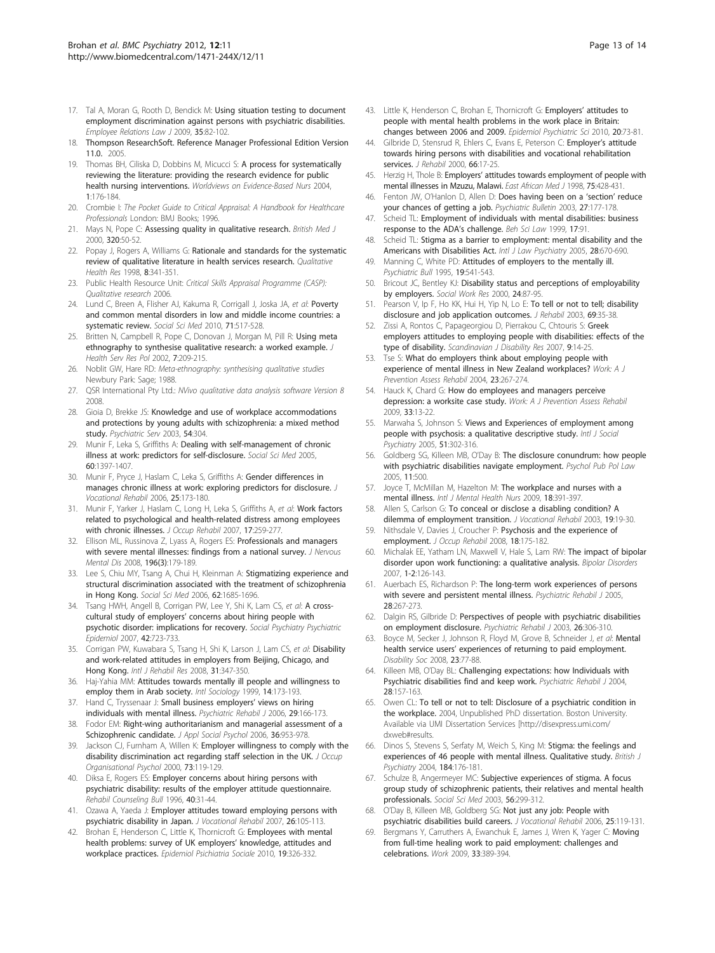- <span id="page-12-0"></span>17. Tal A, Moran G, Rooth D, Bendick M: Using situation testing to document employment discrimination against persons with psychiatric disabilities. Employee Relations Law J 2009, 35:82-102.
- 18. Thompson ResearchSoft. Reference Manager Professional Edition Version 11.0. 2005.
- 19. Thomas BH, Ciliska D, Dobbins M, Micucci S: A process for systematically reviewing the literature: providing the research evidence for public health nursing interventions. Worldviews on Evidence-Based Nurs 2004, 1:176-184.
- 20. Crombie I: The Pocket Guide to Critical Appraisal: A Handbook for Healthcare Professionals London: BMJ Books; 1996.
- 21. Mays N, Pope C: Assessing quality in qualitative research. British Med J 2000, 320:50-52.
- 22. Popay J, Rogers A, Williams G: Rationale and standards for the systematic review of qualitative literature in health services research. Qualitative Health Res 1998, 8:341-351.
- 23. Public Health Resource Unit: Critical Skills Appraisal Programme (CASP): Qualitative research 2006.
- 24. Lund C, Breen A, Flisher AJ, Kakuma R, Corrigall J, Joska JA, et al: Poverty and common mental disorders in low and middle income countries: a systematic review. Social Sci Med 2010, 71:517-528.
- 25. Britten N, Campbell R, Pope C, Donovan J, Morgan M, Pill R: Using meta ethnography to synthesise qualitative research: a worked example. J Health Serv Res Pol 2002, 7:209-215.
- 26. Noblit GW, Hare RD: Meta-ethnography: synthesising qualitative studies Newbury Park: Sage; 1988.
- 27. QSR International Pty Ltd.: NVivo qualitative data analysis software Version 8 2008.
- 28. Gioia D, Brekke JS: Knowledge and use of workplace accommodations and protections by young adults with schizophrenia: a mixed method study. Psychiatric Serv 2003, 54:304.
- 29. Munir F, Leka S, Griffiths A: Dealing with self-management of chronic illness at work: predictors for self-disclosure. Social Sci Med 2005, 60:1397-1407.
- 30. Munir F, Pryce J, Haslam C, Leka S, Griffiths A: Gender differences in manages chronic illness at work: exploring predictors for disclosure. J Vocational Rehabil 2006, 25:173-180.
- 31. Munir F, Yarker J, Haslam C, Long H, Leka S, Griffiths A, et al: [Work factors](http://www.ncbi.nlm.nih.gov/pubmed/17333379?dopt=Abstract) [related to psychological and health-related distress among employees](http://www.ncbi.nlm.nih.gov/pubmed/17333379?dopt=Abstract) [with chronic illnesses.](http://www.ncbi.nlm.nih.gov/pubmed/17333379?dopt=Abstract) J Occup Rehabil 2007, 17:259-277.
- 32. Ellison ML, Russinova Z, Lyass A, Rogers ES: Professionals and managers with severe mental illnesses: findings from a national survey. J Nervous Mental Dis 2008, 196(3):179-189.
- 33. Lee S, Chiu MY, Tsang A, Chui H, Kleinman A: Stigmatizing experience and structural discrimination associated with the treatment of schizophrenia in Hong Kong. Social Sci Med 2006, 62:1685-1696.
- 34. Tsang HWH, Angell B, Corrigan PW, Lee Y, Shi K, Lam CS, et al: A crosscultural study of employers' concerns about hiring people with psychotic disorder: implications for recovery. Social Psychiatry Psychiatric Epidemiol 2007, 42:723-733.
- 35. Corrigan PW, Kuwabara S, Tsang H, Shi K, Larson J, Lam CS, et al: Disability and work-related attitudes in employers from Beijing, Chicago, and Hong Kong. Intl J Rehabil Res 2008, 31:347-350.
- 36. Haj-Yahia MM: Attitudes towards mentally ill people and willingness to employ them in Arab society. Intl Sociology 1999, 14:173-193.
- 37. Hand C, Tryssenaar J: Small business employers' views on hiring individuals with mental illness. Psychiatric Rehabil J 2006, 29:166-173.
- 38. Fodor EM: Right-wing authoritarianism and managerial assessment of a Schizophrenic candidate. J Appl Social Psychol 2006, 36:953-978.
- 39. Jackson CJ, Furnham A, Willen K: Employer willingness to comply with the disability discrimination act regarding staff selection in the UK. J Occup Organisational Psychol 2000, 73:119-129.
- 40. Diksa E, Rogers ES: Employer concerns about hiring persons with psychiatric disability: results of the employer attitude questionnaire. Rehabil Counseling Bull 1996, 40:31-44.
- 41. Ozawa A, Yaeda J: Employer attitudes toward employing persons with psychiatric disability in Japan. J Vocational Rehabil 2007, 26:105-113.
- Brohan E, Henderson C, Little K, Thornicroft G: Employees with mental health problems: survey of UK employers' knowledge, attitudes and workplace practices. Epidemiol Psichiatria Sociale 2010, 19:326-332.
- 43. Little K, Henderson C, Brohan E, Thornicroft G: Employers' attitudes to people with mental health problems in the work place in Britain: changes between 2006 and 2009. Epidemiol Psychiatric Sci 2010, 20:73-81.
- 44. Gilbride D, Stensrud R, Ehlers C, Evans E, Peterson C: Employer's attitude towards hiring persons with disabilities and vocational rehabilitation services. J Rehabil 2000, 66:17-25.
- 45. Herzig H, Thole B: Employers' attitudes towards employment of people with mental illnesses in Mzuzu, Malawi. East African Med J 1998, 75:428-431.
- 46. Fenton JW, O'Hanlon D, Allen D: Does having been on a 'section' reduce your chances of getting a job. Psychiatric Bulletin 2003, 27:177-178.
- 47. Scheid TL: Employment of individuals with mental disabilities: business response to the ADA's challenge. Beh Sci Law 1999, 17:91.
- 48. Scheid TL: Stigma as a barrier to employment: mental disability and the Americans with Disabilities Act. Intl J Law Psychiatry 2005, 28:670-690.
- 49. Manning C, White PD: Attitudes of employers to the mentally ill. Psychiatric Bull 1995, 19:541-543.
- 50. Bricout JC, Bentley KJ: Disability status and perceptions of employability by employers. Social Work Res 2000, 24:87-95.
- 51. Pearson V, Ip F, Ho KK, Hui H, Yip N, Lo E: To tell or not to tell; disability disclosure and job application outcomes. J Rehabil 2003, 69:35-38.
- 52. Zissi A, Rontos C, Papageorgiou D, Pierrakou C, Chtouris S: Greek employers attitudes to employing people with disabilities: effects of the type of disability. Scandinavian J Disability Res 2007, 9:14-25.
- 53. Tse S: What do employers think about employing people with experience of mental illness in New Zealand workplaces? Work: A J Prevention Assess Rehabil 2004, 23:267-274.
- 54. Hauck K, Chard G: How do employees and managers perceive depression: a worksite case study. Work: A J Prevention Assess Rehabil 2009, 33:13-22.
- 55. Marwaha S, Johnson S: Views and Experiences of employment among people with psychosis: a qualitative descriptive study. Intl J Social Psychiatry 2005, 51:302-316.
- 56. Goldberg SG, Killeen MB, O'Day B: The disclosure conundrum: how people with psychiatric disabilities navigate employment. Psychol Pub Pol Law 2005, 11:500.
- 57. Joyce T, McMillan M, Hazelton M: The workplace and nurses with a mental illness. Intl J Mental Health Nurs 2009, 18:391-397.
- 58. Allen S, Carlson G: To conceal or disclose a disabling condition? A dilemma of employment transition. J Vocational Rehabil 2003, 19:19-30.
- 59. Nithsdale V, Davies J, Croucher P: [Psychosis and the experience of](http://www.ncbi.nlm.nih.gov/pubmed/18401690?dopt=Abstract) [employment.](http://www.ncbi.nlm.nih.gov/pubmed/18401690?dopt=Abstract) J Occup Rehabil 2008, 18:175-182.
- 60. Michalak EE, Yatham LN, Maxwell V, Hale S, Lam RW: The impact of bipolar disorder upon work functioning: a qualitative analysis. Bipolar Disorders 2007, 1-2:126-143.
- 61. Auerbach ES, Richardson P: The long-term work experiences of persons with severe and persistent mental illness. Psychiatric Rehabil J 2005, 28:267-273.
- 62. Dalgin RS, Gilbride D: Perspectives of people with psychiatric disabilities on employment disclosure. Psychiatric Rehabil J 2003, 26:306-310.
- 63. Boyce M, Secker J, Johnson R, Floyd M, Grove B, Schneider J, et al: Mental health service users' experiences of returning to paid employment. Disability Soc 2008, 23:77-88.
- Killeen MB, O'Day BL: Challenging expectations: how Individuals with Psychiatric disabilities find and keep work. Psychiatric Rehabil J 2004, 28:157-163.
- 65. Owen CL: To tell or not to tell: Disclosure of a psychiatric condition in the workplace. 2004, Unpublished PhD dissertation. Boston University. Available via UMI Dissertation Services [http://disexpress.umi.com/ dxweb#results.
- 66. Dinos S, Stevens S, Serfaty M, Weich S, King M: Stigma: the feelings and experiences of 46 people with mental illness. Qualitative study. British J Psychiatry 2004, 184:176-181.
- 67. Schulze B, Angermeyer MC: Subjective experiences of stigma. A focus group study of schizophrenic patients, their relatives and mental health professionals. Social Sci Med 2003, 56:299-312.
- O'Day B, Killeen MB, Goldberg SG: Not just any job: People with psychiatric disabilities build careers. J Vocational Rehabil 2006, 25:119-131.
- Bergmans Y, Carruthers A, Ewanchuk E, James J, Wren K, Yager C: [Moving](http://www.ncbi.nlm.nih.gov/pubmed/19923661?dopt=Abstract) [from full-time healing work to paid employment: challenges and](http://www.ncbi.nlm.nih.gov/pubmed/19923661?dopt=Abstract) [celebrations.](http://www.ncbi.nlm.nih.gov/pubmed/19923661?dopt=Abstract) Work 2009, 33:389-394.